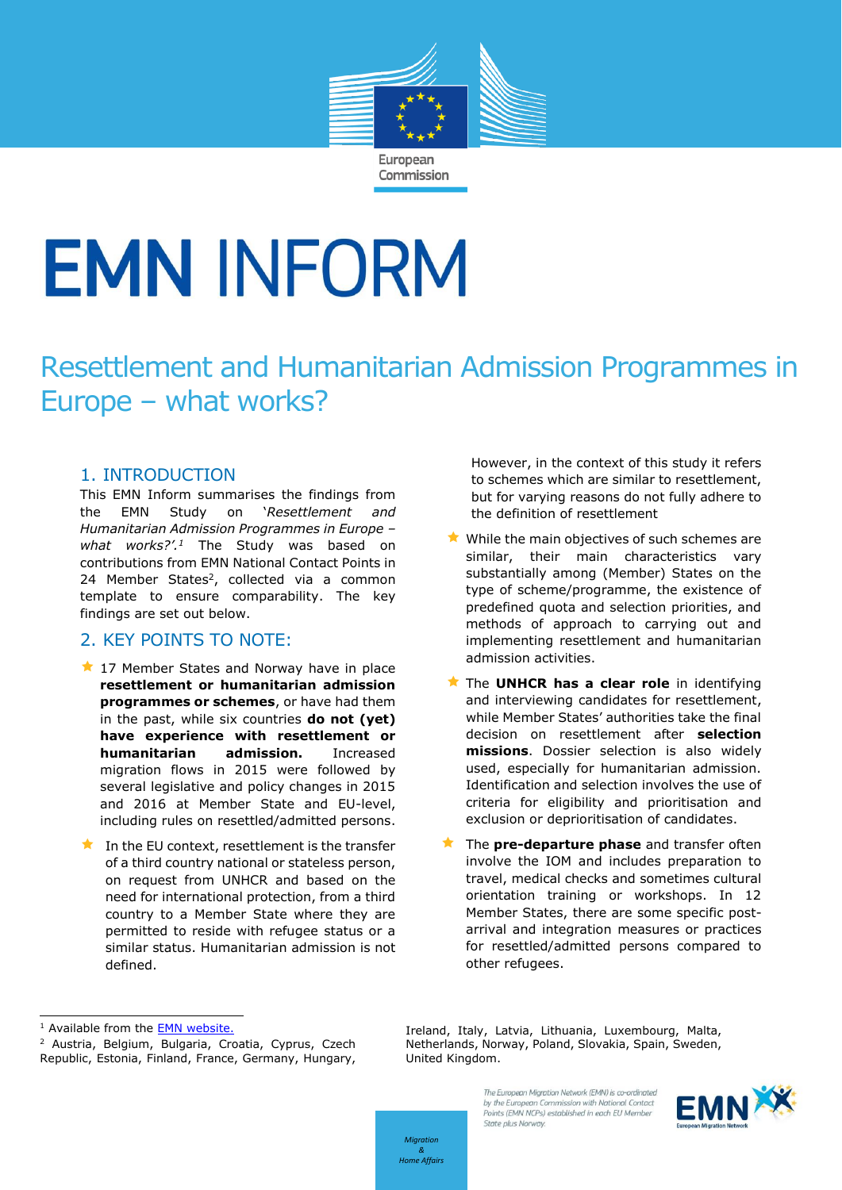

# **EMN INFORM**

## Resettlement and Humanitarian Admission Programmes in Europe – what works?

#### 1. INTRODUCTION

This EMN Inform summarises the findings from the EMN Study on '*Resettlement and Humanitarian Admission Programmes in Europe – what works?'. <sup>1</sup>* The Study was based on contributions from EMN National Contact Points in 24 Member States<sup>2</sup>, collected via a common template to ensure comparability. The key findings are set out below.

#### 2. KEY POINTS TO NOTE:

- 17 Member States and Norway have in place **resettlement or humanitarian admission programmes or schemes**, or have had them in the past, while six countries **do not (yet) have experience with resettlement or humanitarian admission.** Increased migration flows in 2015 were followed by several legislative and policy changes in 2015 and 2016 at Member State and EU-level, including rules on resettled/admitted persons.
- In the EU context, resettlement is the transfer of a third country national or stateless person, on request from UNHCR and based on the need for international protection, from a third country to a Member State where they are permitted to reside with refugee status or a similar status. Humanitarian admission is not defined.

However, in the context of this study it refers to schemes which are similar to resettlement, but for varying reasons do not fully adhere to the definition of resettlement

- $\bigstar$  While the main objectives of such schemes are similar, their main characteristics vary substantially among (Member) States on the type of scheme/programme, the existence of predefined quota and selection priorities, and methods of approach to carrying out and implementing resettlement and humanitarian admission activities.
- **The UNHCR has a clear role** in identifying and interviewing candidates for resettlement, while Member States' authorities take the final decision on resettlement after **selection missions**. Dossier selection is also widely used, especially for humanitarian admission. Identification and selection involves the use of criteria for eligibility and prioritisation and exclusion or deprioritisation of candidates.
- **The pre-departure phase** and transfer often involve the IOM and includes preparation to travel, medical checks and sometimes cultural orientation training or workshops. In 12 Member States, there are some specific postarrival and integration measures or practices for resettled/admitted persons compared to other refugees.

Ireland, Italy, Latvia, Lithuania, Luxembourg, Malta, Netherlands, Norway, Poland, Slovakia, Spain, Sweden, United Kingdom.

> The European Migration Network (EMN) is co-ordinated by the European Commission with National Contact Points (FMN NCPs) established in each FU Member State plus Norway.



*Migration & Home Affairs*

<sup>&</sup>lt;sup>1</sup> Available from the **EMN** website.

<sup>2</sup> Austria, Belgium, Bulgaria, Croatia, Cyprus, Czech Republic, Estonia, Finland, France, Germany, Hungary,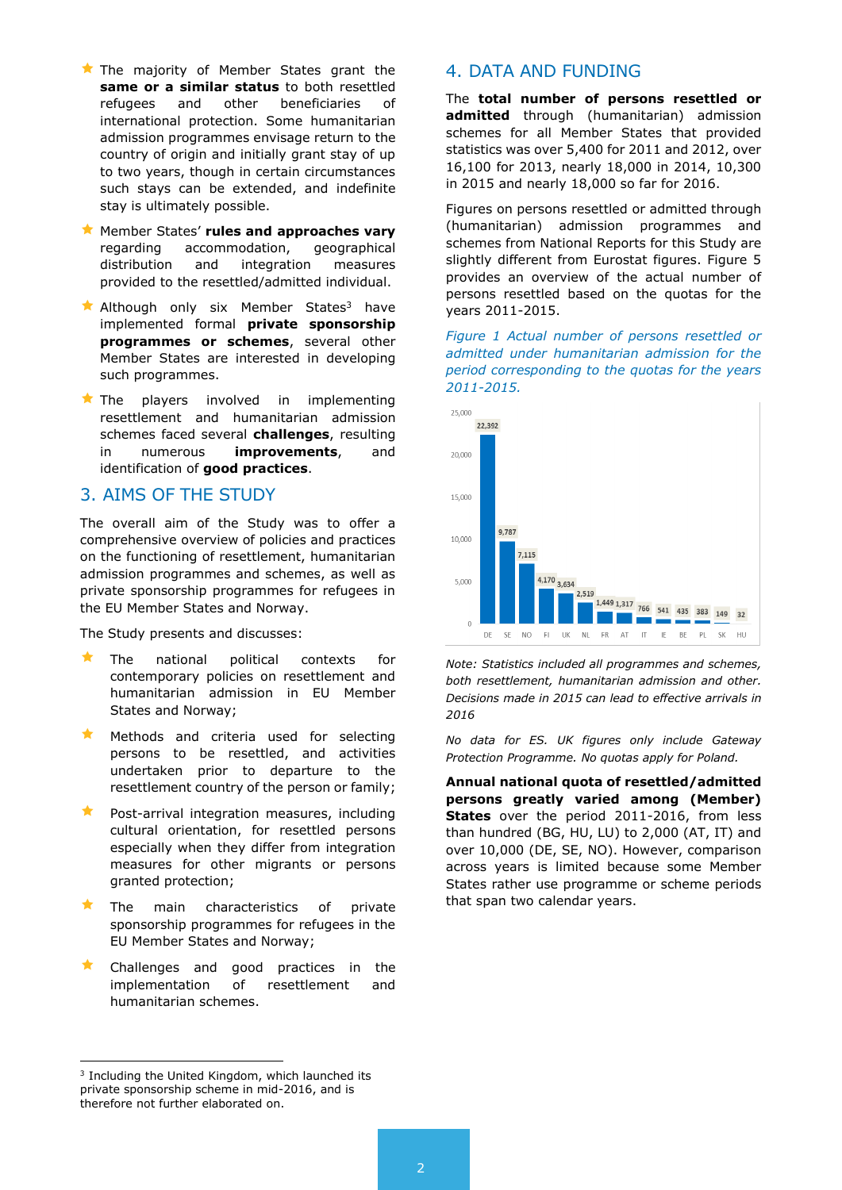- $\bigstar$  The majority of Member States grant the **same or a similar status** to both resettled refugees and other beneficiaries of international protection. Some humanitarian admission programmes envisage return to the country of origin and initially grant stay of up to two years, though in certain circumstances such stays can be extended, and indefinite stay is ultimately possible.
- **Example States' rules and approaches vary**<br>regarding accommodation, geographical accommodation, distribution and integration measures provided to the resettled/admitted individual.
- Although only six Member States<sup>3</sup> have implemented formal **private sponsorship programmes or schemes**, several other Member States are interested in developing such programmes.
- $\star$  The players involved in implementing resettlement and humanitarian admission schemes faced several **challenges**, resulting in numerous **improvements**, and identification of **good practices**.

#### 3. AIMS OF THE STUDY

The overall aim of the Study was to offer a comprehensive overview of policies and practices on the functioning of resettlement, humanitarian admission programmes and schemes, as well as private sponsorship programmes for refugees in the EU Member States and Norway.

The Study presents and discusses:

- The national political contexts for contemporary policies on resettlement and humanitarian admission in EU Member States and Norway;
- Methods and criteria used for selecting persons to be resettled, and activities undertaken prior to departure to the resettlement country of the person or family;
- $\star$  Post-arrival integration measures, including cultural orientation, for resettled persons especially when they differ from integration measures for other migrants or persons granted protection;
- The main characteristics of private sponsorship programmes for refugees in the EU Member States and Norway;
- Challenges and good practices in the implementation of resettlement and humanitarian schemes.

**admitted** through (humanitarian) admission schemes for all Member States that provided statistics was over 5,400 for 2011 and 2012, over 16,100 for 2013, nearly 18,000 in 2014, 10,300 in 2015 and nearly 18,000 so far for 2016.

The **total number of persons resettled or** 

4. DATA AND FUNDING

Figures on persons resettled or admitted through (humanitarian) admission programmes and schemes from National Reports for this Study are slightly different from Eurostat figures. Figure 5 provides an overview of the actual number of persons resettled based on the quotas for the years 2011-2015.

*Figure 1 Actual number of persons resettled or admitted under humanitarian admission for the period corresponding to the quotas for the years 2011-2015.*



*Note: Statistics included all programmes and schemes, both resettlement, humanitarian admission and other. Decisions made in 2015 can lead to effective arrivals in 2016*

*No data for ES. UK figures only include Gateway Protection Programme. No quotas apply for Poland.*

**Annual national quota of resettled/admitted persons greatly varied among (Member) States** over the period 2011-2016, from less than hundred (BG, HU, LU) to 2,000 (AT, IT) and over 10,000 (DE, SE, NO). However, comparison across years is limited because some Member States rather use programme or scheme periods that span two calendar years.

1

<sup>&</sup>lt;sup>3</sup> Including the United Kingdom, which launched its private sponsorship scheme in mid-2016, and is therefore not further elaborated on.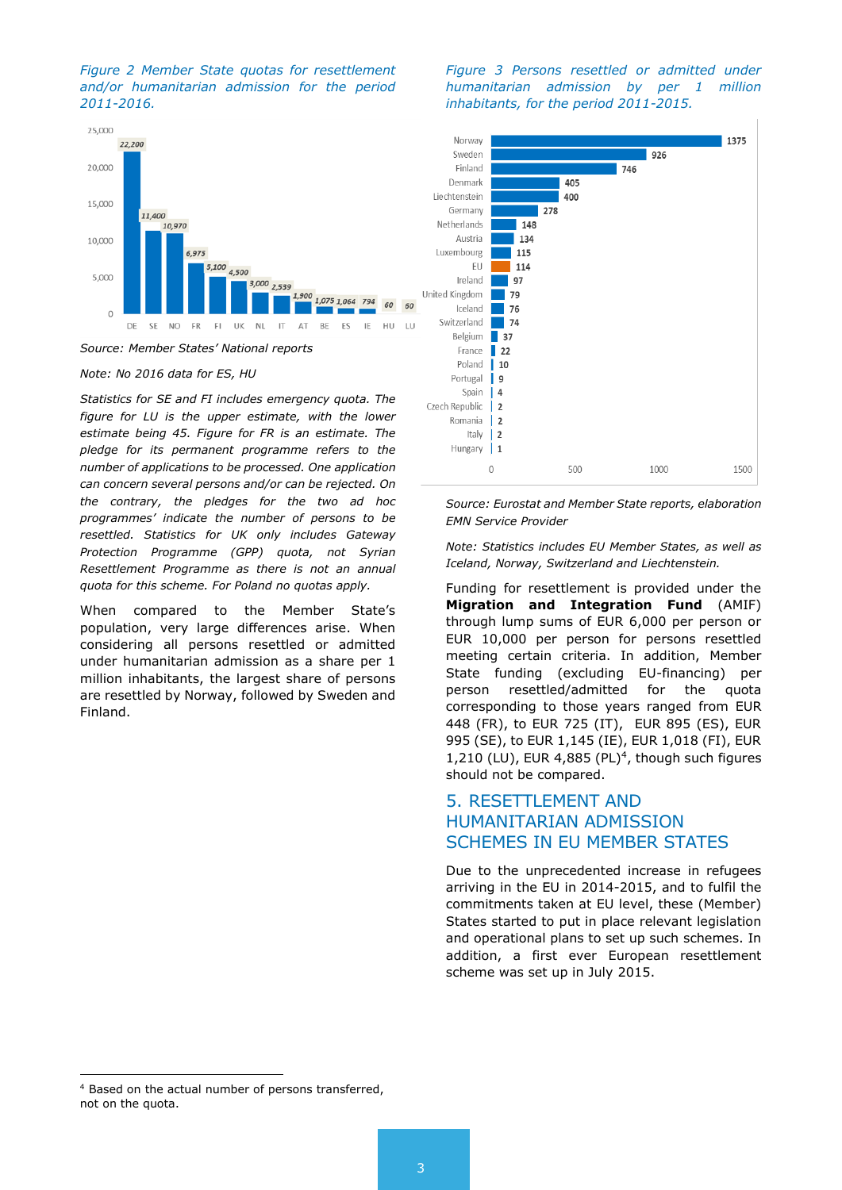



*Source: Member States' National reports*

*Note: No 2016 data for ES, HU*

*Statistics for SE and FI includes emergency quota. The figure for LU is the upper estimate, with the lower estimate being 45. Figure for FR is an estimate. The pledge for its permanent programme refers to the number of applications to be processed. One application can concern several persons and/or can be rejected. On the contrary, the pledges for the two ad hoc programmes' indicate the number of persons to be resettled. Statistics for UK only includes Gateway Protection Programme (GPP) quota, not Syrian Resettlement Programme as there is not an annual quota for this scheme. For Poland no quotas apply.*

When compared to the Member State's population, very large differences arise. When considering all persons resettled or admitted under humanitarian admission as a share per 1 million inhabitants, the largest share of persons are resettled by Norway, followed by Sweden and Finland.

*Figure 3 Persons resettled or admitted under humanitarian admission by per 1 million inhabitants, for the period 2011-2015.*



*Source: Eurostat and Member State reports, elaboration EMN Service Provider*

*Note: Statistics includes EU Member States, as well as Iceland, Norway, Switzerland and Liechtenstein.*

Funding for resettlement is provided under the **Migration and Integration Fund** (AMIF) through lump sums of EUR 6,000 per person or EUR 10,000 per person for persons resettled meeting certain criteria. In addition, Member State funding (excluding EU-financing) per person resettled/admitted for the quota corresponding to those years ranged from EUR 448 (FR), to EUR 725 (IT), EUR 895 (ES), EUR 995 (SE), to EUR 1,145 (IE), EUR 1,018 (FI), EUR  $1,210$  (LU), EUR 4,885 (PL)<sup>4</sup>, though such figures should not be compared.

### 5. RESETTLEMENT AND HUMANITARIAN ADMISSION SCHEMES IN EU MEMBER STATES

Due to the unprecedented increase in refugees arriving in the EU in 2014-2015, and to fulfil the commitments taken at EU level, these (Member) States started to put in place relevant legislation and operational plans to set up such schemes. In addition, a first ever European resettlement scheme was set up in July 2015.

1

<sup>4</sup> Based on the actual number of persons transferred, not on the quota.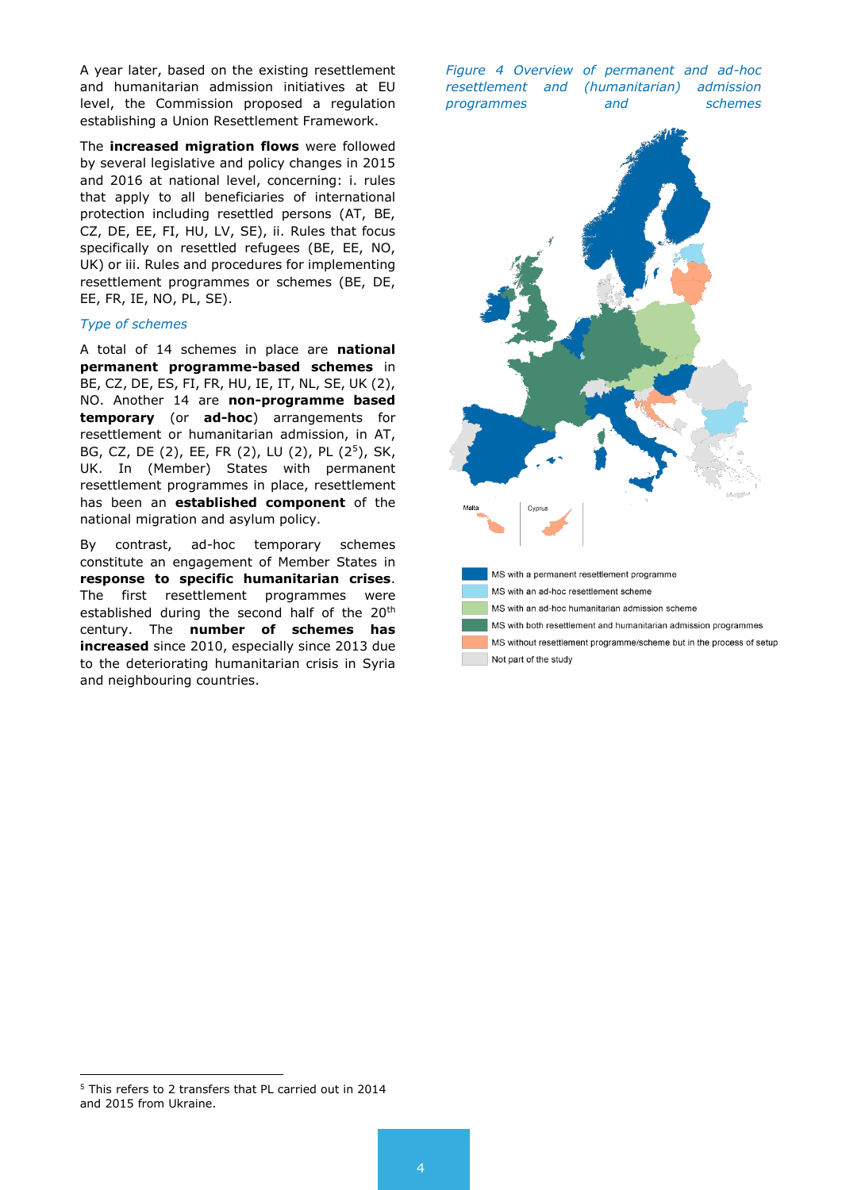A year later, based on the existing resettlement and humanitarian admission initiatives at EU level, the Commission proposed a regulation establishing a Union Resettlement Framework.

The **increased migration flows** were followed by several legislative and policy changes in 2015 and 2016 at national level, concerning: i. rules that apply to all beneficiaries of international protection including resettled persons (AT, BE, CZ, DE, EE, FI, HU, LV, SE), ii. Rules that focus specifically on resettled refugees (BE, EE, NO, UK) or iii. Rules and procedures for implementing resettlement programmes or schemes (BE, DE, EE, FR, IE, NO, PL, SE).

#### *Type of schemes*

A total of 14 schemes in place are **national permanent programme-based schemes** in BE, CZ, DE, ES, FI, FR, HU, IE, IT, NL, SE, UK (2), NO. Another 14 are **non-programme based temporary** (or **ad-hoc**) arrangements for resettlement or humanitarian admission, in AT, BG, CZ, DE (2), EE, FR (2), LU (2), PL (2<sup>5</sup>), SK, UK. In (Member) States with permanent resettlement programmes in place, resettlement has been an **established component** of the national migration and asylum policy.

By contrast, ad-hoc temporary schemes constitute an engagement of Member States in **response to specific humanitarian crises**. The first resettlement programmes were established during the second half of the 20<sup>th</sup> century. The **number of schemes has increased** since 2010, especially since 2013 due to the deteriorating humanitarian crisis in Syria and neighbouring countries.

*Figure 4 Overview of permanent and ad-hoc resettlement and (humanitarian) admission programmes and schemes*



1

<sup>5</sup> This refers to 2 transfers that PL carried out in 2014 and 2015 from Ukraine.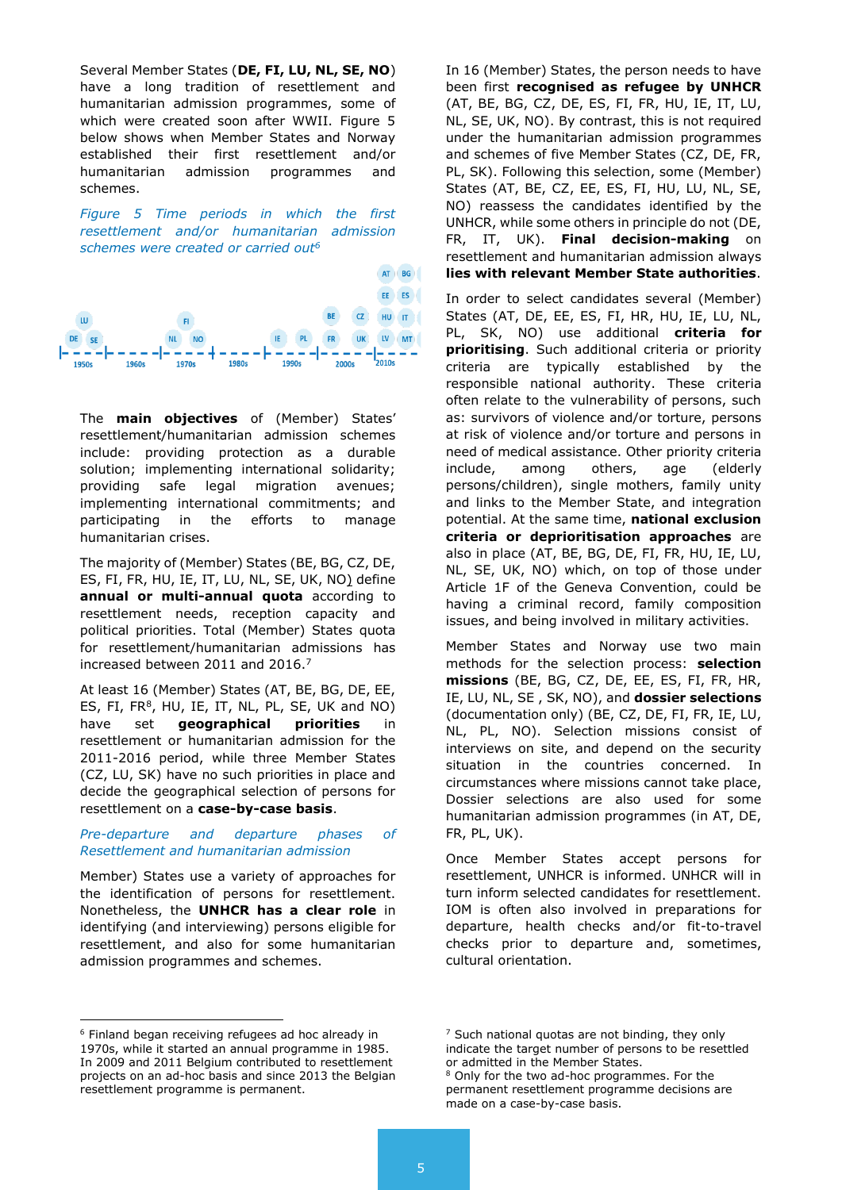Several Member States (**DE, FI, LU, NL, SE, NO**) have a long tradition of resettlement and humanitarian admission programmes, some of which were created soon after WWII. Figure 5 below shows when Member States and Norway established their first resettlement and/or humanitarian admission programmes and schemes.

*Figure 5 Time periods in which the first resettlement and/or humanitarian admission schemes were created or carried out<sup>6</sup>*



The **main objectives** of (Member) States' resettlement/humanitarian admission schemes include: providing protection as a durable solution; implementing international solidarity; providing safe legal migration avenues; implementing international commitments; and participating in the efforts to manage humanitarian crises.

The majority of (Member) States (BE, BG, CZ, DE, ES, FI, FR, HU, IE, IT, LU, NL, SE, UK, NO) define **annual or multi-annual quota** according to resettlement needs, reception capacity and political priorities. Total (Member) States quota for resettlement/humanitarian admissions has increased between 2011 and 2016.<sup>7</sup>

At least 16 (Member) States (AT, BE, BG, DE, EE, ES, FI, FR $<sup>8</sup>$ , HU, IE, IT, NL, PL, SE, UK and NO)</sup> have set **geographical priorities** in resettlement or humanitarian admission for the 2011-2016 period, while three Member States (CZ, LU, SK) have no such priorities in place and decide the geographical selection of persons for resettlement on a **case-by-case basis**.

#### *Pre-departure and departure phases of Resettlement and humanitarian admission*

Member) States use a variety of approaches for the identification of persons for resettlement. Nonetheless, the **UNHCR has a clear role** in identifying (and interviewing) persons eligible for resettlement, and also for some humanitarian admission programmes and schemes.

<sup>6</sup> Finland began receiving refugees ad hoc already in 1970s, while it started an annual programme in 1985. In 2009 and 2011 Belgium contributed to resettlement projects on an ad-hoc basis and since 2013 the Belgian resettlement programme is permanent.

-

In 16 (Member) States, the person needs to have been first **recognised as refugee by UNHCR** (AT, BE, BG, CZ, DE, ES, FI, FR, HU, IE, IT, LU, NL, SE, UK, NO). By contrast, this is not required under the humanitarian admission programmes and schemes of five Member States (CZ, DE, FR, PL, SK). Following this selection, some (Member) States (AT, BE, CZ, EE, ES, FI, HU, LU, NL, SE, NO) reassess the candidates identified by the UNHCR, while some others in principle do not (DE, FR, IT, UK). **Final decision-making** on resettlement and humanitarian admission always **lies with relevant Member State authorities**.

In order to select candidates several (Member) States (AT, DE, EE, ES, FI, HR, HU, IE, LU, NL, PL, SK, NO) use additional **criteria for prioritising**. Such additional criteria or priority criteria are typically established by the responsible national authority. These criteria often relate to the vulnerability of persons, such as: survivors of violence and/or torture, persons at risk of violence and/or torture and persons in need of medical assistance. Other priority criteria include, among others, age (elderly persons/children), single mothers, family unity and links to the Member State, and integration potential. At the same time, **national exclusion criteria or deprioritisation approaches** are also in place (AT, BE, BG, DE, FI, FR, HU, IE, LU, NL, SE, UK, NO) which, on top of those under Article 1F of the Geneva Convention, could be having a criminal record, family composition issues, and being involved in military activities.

Member States and Norway use two main methods for the selection process: **selection missions** (BE, BG, CZ, DE, EE, ES, FI, FR, HR, IE, LU, NL, SE , SK, NO), and **dossier selections** (documentation only) (BE, CZ, DE, FI, FR, IE, LU, NL, PL, NO). Selection missions consist of interviews on site, and depend on the security situation in the countries concerned. In circumstances where missions cannot take place, Dossier selections are also used for some humanitarian admission programmes (in AT, DE, FR, PL, UK).

Once Member States accept persons for resettlement, UNHCR is informed. UNHCR will in turn inform selected candidates for resettlement. IOM is often also involved in preparations for departure, health checks and/or fit-to-travel checks prior to departure and, sometimes, cultural orientation.

 $<sup>7</sup>$  Such national quotas are not binding, they only</sup> indicate the target number of persons to be resettled or admitted in the Member States.

<sup>&</sup>lt;sup>8</sup> Only for the two ad-hoc programmes. For the permanent resettlement programme decisions are made on a case-by-case basis.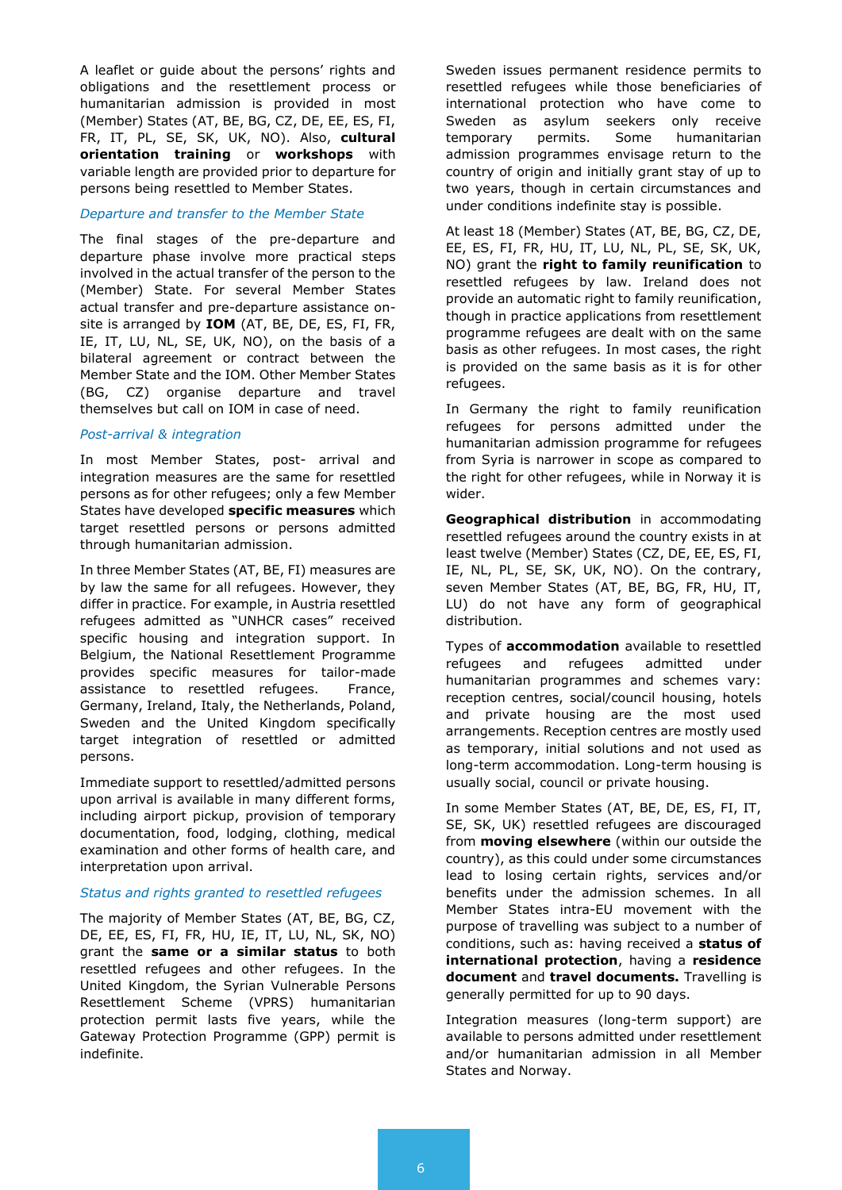A leaflet or guide about the persons' rights and obligations and the resettlement process or humanitarian admission is provided in most (Member) States (AT, BE, BG, CZ, DE, EE, ES, FI, FR, IT, PL, SE, SK, UK, NO). Also, **cultural orientation training** or **workshops** with variable length are provided prior to departure for persons being resettled to Member States.

#### *Departure and transfer to the Member State*

The final stages of the pre-departure and departure phase involve more practical steps involved in the actual transfer of the person to the (Member) State. For several Member States actual transfer and pre-departure assistance onsite is arranged by **IOM** (AT, BE, DE, ES, FI, FR, IE, IT, LU, NL, SE, UK, NO), on the basis of a bilateral agreement or contract between the Member State and the IOM. Other Member States (BG, CZ) organise departure and travel themselves but call on IOM in case of need.

#### *Post-arrival & integration*

In most Member States, post- arrival and integration measures are the same for resettled persons as for other refugees; only a few Member States have developed **specific measures** which target resettled persons or persons admitted through humanitarian admission.

In three Member States (AT, BE, FI) measures are by law the same for all refugees. However, they differ in practice. For example, in Austria resettled refugees admitted as "UNHCR cases" received specific housing and integration support. In Belgium, the National Resettlement Programme provides specific measures for tailor-made assistance to resettled refugees. France, Germany, Ireland, Italy, the Netherlands, Poland, Sweden and the United Kingdom specifically target integration of resettled or admitted persons.

Immediate support to resettled/admitted persons upon arrival is available in many different forms, including airport pickup, provision of temporary documentation, food, lodging, clothing, medical examination and other forms of health care, and interpretation upon arrival.

#### *Status and rights granted to resettled refugees*

The majority of Member States (AT, BE, BG, CZ, DE, EE, ES, FI, FR, HU, IE, IT, LU, NL, SK, NO) grant the **same or a similar status** to both resettled refugees and other refugees. In the United Kingdom, the Syrian Vulnerable Persons Resettlement Scheme (VPRS) humanitarian protection permit lasts five years, while the Gateway Protection Programme (GPP) permit is indefinite.

Sweden issues permanent residence permits to resettled refugees while those beneficiaries of international protection who have come to Sweden as asylum seekers only receive temporary permits. Some humanitarian admission programmes envisage return to the country of origin and initially grant stay of up to two years, though in certain circumstances and under conditions indefinite stay is possible.

At least 18 (Member) States (AT, BE, BG, CZ, DE, EE, ES, FI, FR, HU, IT, LU, NL, PL, SE, SK, UK, NO) grant the **right to family reunification** to resettled refugees by law. Ireland does not provide an automatic right to family reunification, though in practice applications from resettlement programme refugees are dealt with on the same basis as other refugees. In most cases, the right is provided on the same basis as it is for other refugees.

In Germany the right to family reunification refugees for persons admitted under the humanitarian admission programme for refugees from Syria is narrower in scope as compared to the right for other refugees, while in Norway it is wider.

**Geographical distribution** in accommodating resettled refugees around the country exists in at least twelve (Member) States (CZ, DE, EE, ES, FI, IE, NL, PL, SE, SK, UK, NO). On the contrary, seven Member States (AT, BE, BG, FR, HU, IT, LU) do not have any form of geographical distribution.

Types of **accommodation** available to resettled refugees and refugees admitted under humanitarian programmes and schemes vary: reception centres, social/council housing, hotels and private housing are the most used arrangements. Reception centres are mostly used as temporary, initial solutions and not used as long-term accommodation. Long-term housing is usually social, council or private housing.

In some Member States (AT, BE, DE, ES, FI, IT, SE, SK, UK) resettled refugees are discouraged from **moving elsewhere** (within our outside the country), as this could under some circumstances lead to losing certain rights, services and/or benefits under the admission schemes. In all Member States intra-EU movement with the purpose of travelling was subject to a number of conditions, such as: having received a **status of international protection**, having a **residence document** and **travel documents.** Travelling is generally permitted for up to 90 days.

Integration measures (long-term support) are available to persons admitted under resettlement and/or humanitarian admission in all Member States and Norway.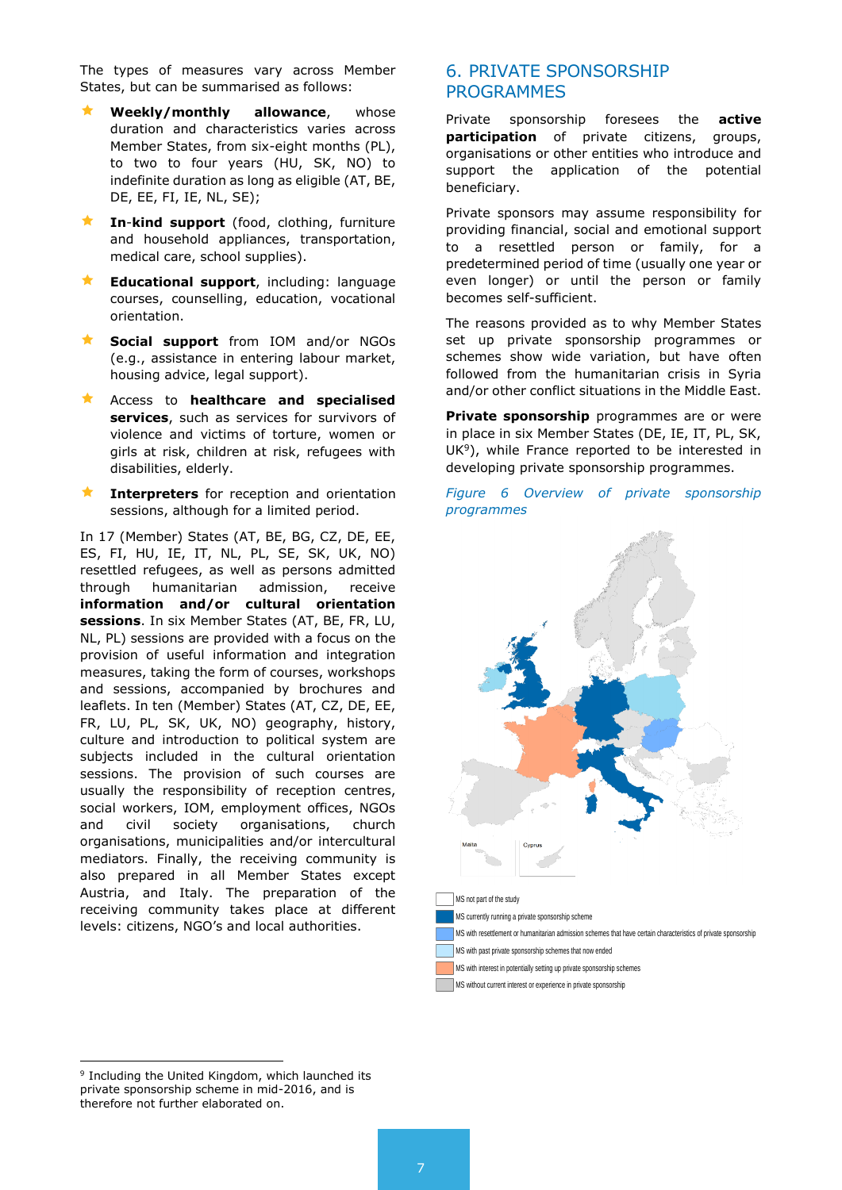The types of measures vary across Member States, but can be summarised as follows:

- **Weekly/monthly allowance**, whose duration and characteristics varies across Member States, from six-eight months (PL), to two to four years (HU, SK, NO) to indefinite duration as long as eligible (AT, BE, DE, EE, FI, IE, NL, SE);
- **In**-**kind support** (food, clothing, furniture and household appliances, transportation, medical care, school supplies).
- **Educational support**, including: language courses, counselling, education, vocational orientation.
- **Social support** from IOM and/or NGOs (e.g., assistance in entering labour market, housing advice, legal support).
- Access to **healthcare and specialised services**, such as services for survivors of violence and victims of torture, women or girls at risk, children at risk, refugees with disabilities, elderly.
- **Interpreters** for reception and orientation sessions, although for a limited period.

In 17 (Member) States (AT, BE, BG, CZ, DE, EE, ES, FI, HU, IE, IT, NL, PL, SE, SK, UK, NO) resettled refugees, as well as persons admitted through humanitarian admission, receive **information and/or cultural orientation sessions**. In six Member States (AT, BE, FR, LU, NL, PL) sessions are provided with a focus on the provision of useful information and integration measures, taking the form of courses, workshops and sessions, accompanied by brochures and leaflets. In ten (Member) States (AT, CZ, DE, EE, FR, LU, PL, SK, UK, NO) geography, history, culture and introduction to political system are subjects included in the cultural orientation sessions. The provision of such courses are usually the responsibility of reception centres, social workers, IOM, employment offices, NGOs and civil society organisations, church organisations, municipalities and/or intercultural mediators. Finally, the receiving community is also prepared in all Member States except Austria, and Italy. The preparation of the receiving community takes place at different levels: citizens, NGO's and local authorities.

#### 6. PRIVATE SPONSORSHIP PROGRAMMES

Private sponsorship foresees the **active participation** of private citizens, groups, organisations or other entities who introduce and support the application of the potential beneficiary.

Private sponsors may assume responsibility for providing financial, social and emotional support to a resettled person or family, for a predetermined period of time (usually one year or even longer) or until the person or family becomes self-sufficient.

The reasons provided as to why Member States set up private sponsorship programmes or schemes show wide variation, but have often followed from the humanitarian crisis in Syria and/or other conflict situations in the Middle East.

**Private sponsorship** programmes are or were in place in six Member States (DE, IE, IT, PL, SK,  $UK<sup>9</sup>$ ), while France reported to be interested in developing private sponsorship programmes.

*Figure 6 Overview of private sponsorship programmes*



1 <sup>9</sup> Including the United Kingdom, which launched its private sponsorship scheme in mid-2016, and is therefore not further elaborated on.